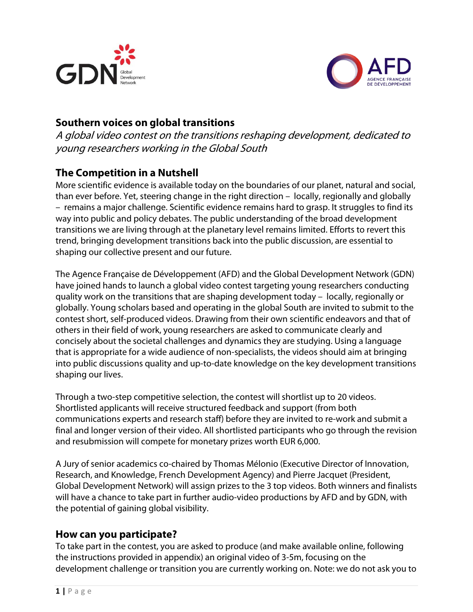



# **Southern voices on global transitions**

A global video contest on the transitions reshaping development, dedicated to young researchers working in the Global South

## **The Competition in a Nutshell**

More scientific evidence is available today on the boundaries of our planet, natural and social, than ever before. Yet, steering change in the right direction – locally, regionally and globally – remains a major challenge. Scientific evidence remains hard to grasp. It struggles to find its way into public and policy debates. The public understanding of the broad development transitions we are living through at the planetary level remains limited. Efforts to revert this trend, bringing development transitions back into the public discussion, are essential to shaping our collective present and our future.

The Agence Française de Développement (AFD) and the Global Development Network (GDN) have joined hands to launch a global video contest targeting young researchers conducting quality work on the transitions that are shaping development today – locally, regionally or globally. Young scholars based and operating in the global South are invited to submit to the contest short, self-produced videos. Drawing from their own scientific endeavors and that of others in their field of work, young researchers are asked to communicate clearly and concisely about the societal challenges and dynamics they are studying. Using a language that is appropriate for a wide audience of non-specialists, the videos should aim at bringing into public discussions quality and up-to-date knowledge on the key development transitions shaping our lives.

Through a two-step competitive selection, the contest will shortlist up to 20 videos. Shortlisted applicants will receive structured feedback and support (from both communications experts and research staff) before they are invited to re-work and submit a final and longer version of their video. All shortlisted participants who go through the revision and resubmission will compete for monetary prizes worth EUR 6,000.

A Jury of senior academics co-chaired by Thomas Mélonio (Executive Director of Innovation, Research, and Knowledge, French Development Agency) and Pierre Jacquet (President, Global Development Network) will assign prizes to the 3 top videos. Both winners and finalists will have a chance to take part in further audio-video productions by AFD and by GDN, with the potential of gaining global visibility.

## **How can you participate?**

To take part in the contest, you are asked to produce (and make available online, following the instructions provided in appendix) an original video of 3-5m, focusing on the development challenge or transition you are currently working on. Note: we do not ask you to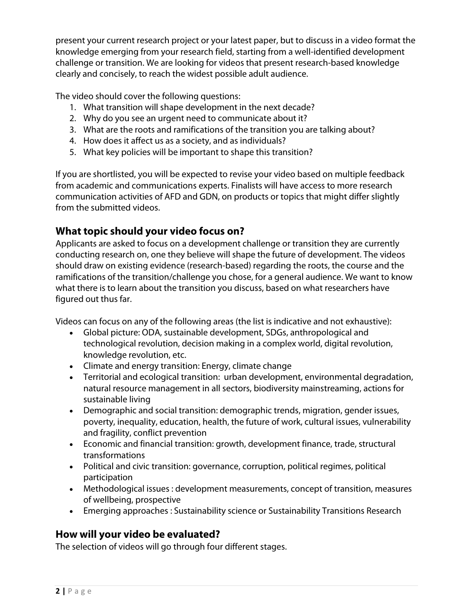present your current research project or your latest paper, but to discuss in a video format the knowledge emerging from your research field, starting from a well-identified development challenge or transition. We are looking for videos that present research-based knowledge clearly and concisely, to reach the widest possible adult audience.

The video should cover the following questions:

- 1. What transition will shape development in the next decade?
- 2. Why do you see an urgent need to communicate about it?
- 3. What are the roots and ramifications of the transition you are talking about?
- 4. How does it affect us as a society, and as individuals?
- 5. What key policies will be important to shape this transition?

If you are shortlisted, you will be expected to revise your video based on multiple feedback from academic and communications experts. Finalists will have access to more research communication activities of AFD and GDN, on products or topics that might differ slightly from the submitted videos.

# **What topic should your video focus on?**

Applicants are asked to focus on a development challenge or transition they are currently conducting research on, one they believe will shape the future of development. The videos should draw on existing evidence (research-based) regarding the roots, the course and the ramifications of the transition/challenge you chose, for a general audience. We want to know what there is to learn about the transition you discuss, based on what researchers have figured out thus far.

Videos can focus on any of the following areas (the list is indicative and not exhaustive):

- Global picture: ODA, sustainable development, SDGs, anthropological and technological revolution, decision making in a complex world, digital revolution, knowledge revolution, etc.
- Climate and energy transition: Energy, climate change
- Territorial and ecological transition: urban development, environmental degradation, natural resource management in all sectors, biodiversity mainstreaming, actions for sustainable living
- Demographic and social transition: demographic trends, migration, gender issues, poverty, inequality, education, health, the future of work, cultural issues, vulnerability and fragility, conflict prevention
- Economic and financial transition: growth, development finance, trade, structural transformations
- Political and civic transition: governance, corruption, political regimes, political participation
- Methodological issues : development measurements, concept of transition, measures of wellbeing, prospective
- Emerging approaches : Sustainability science or Sustainability Transitions Research

# **How will your video be evaluated?**

The selection of videos will go through four different stages.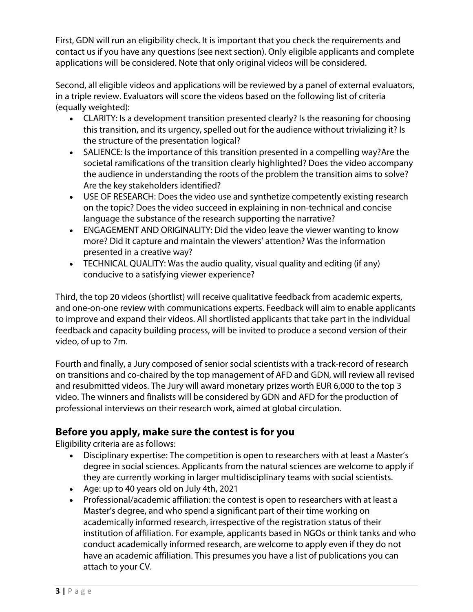First, GDN will run an eligibility check. It is important that you check the requirements and contact us if you have any questions (see next section). Only eligible applicants and complete applications will be considered. Note that only original videos will be considered.

Second, all eligible videos and applications will be reviewed by a panel of external evaluators, in a triple review. Evaluators will score the videos based on the following list of criteria (equally weighted):

- CLARITY: Is a development transition presented clearly? Is the reasoning for choosing this transition, and its urgency, spelled out for the audience without trivializing it? Is the structure of the presentation logical?
- SALIENCE: Is the importance of this transition presented in a compelling way?Are the societal ramifications of the transition clearly highlighted? Does the video accompany the audience in understanding the roots of the problem the transition aims to solve? Are the key stakeholders identified?
- USE OF RESEARCH: Does the video use and synthetize competently existing research on the topic? Does the video succeed in explaining in non-technical and concise language the substance of the research supporting the narrative?
- ENGAGEMENT AND ORIGINALITY: Did the video leave the viewer wanting to know more? Did it capture and maintain the viewers' attention? Was the information presented in a creative way?
- TECHNICAL QUALITY: Was the audio quality, visual quality and editing (if any) conducive to a satisfying viewer experience?

Third, the top 20 videos (shortlist) will receive qualitative feedback from academic experts, and one-on-one review with communications experts. Feedback will aim to enable applicants to improve and expand their videos. All shortlisted applicants that take part in the individual feedback and capacity building process, will be invited to produce a second version of their video, of up to 7m.

Fourth and finally, a Jury composed of senior social scientists with a track-record of research on transitions and co-chaired by the top management of AFD and GDN, will review all revised and resubmitted videos. The Jury will award monetary prizes worth EUR 6,000 to the top 3 video. The winners and finalists will be considered by GDN and AFD for the production of professional interviews on their research work, aimed at global circulation.

# **Before you apply, make sure the contest is for you**

Eligibility criteria are as follows:

- Disciplinary expertise: The competition is open to researchers with at least a Master's degree in social sciences. Applicants from the natural sciences are welcome to apply if they are currently working in larger multidisciplinary teams with social scientists.
- Age: up to 40 years old on July 4th, 2021
- Professional/academic affiliation: the contest is open to researchers with at least a Master's degree, and who spend a significant part of their time working on academically informed research, irrespective of the registration status of their institution of affiliation. For example, applicants based in NGOs or think tanks and who conduct academically informed research, are welcome to apply even if they do not have an academic affiliation. This presumes you have a list of publications you can attach to your CV.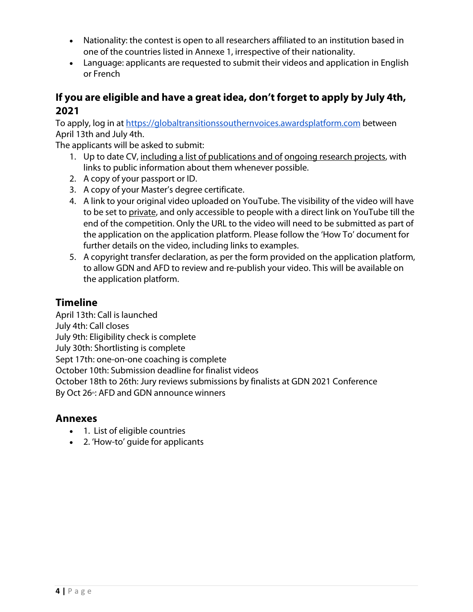- Nationality: the contest is open to all researchers affiliated to an institution based in one of the countries listed in Annexe 1, irrespective of their nationality.
- Language: applicants are requested to submit their videos and application in English or French

## **If you are eligible and have a great idea, don't forget to apply by July 4th, 2021**

To apply, log in at [https://globaltransitionssouthernvoices.awardsplatform.com](https://globaltransitionssouthernvoices.awardsplatform.com/) between April 13th and July 4th.

The applicants will be asked to submit:

- 1. Up to date CV, including a list of publications and of ongoing research projects, with links to public information about them whenever possible.
- 2. A copy of your passport or ID.
- 3. A copy of your Master's degree certificate.
- 4. A link to your original video uploaded on YouTube. The visibility of the video will have to be set to private, and only accessible to people with a direct link on YouTube till the end of the competition. Only the URL to the video will need to be submitted as part of the application on the application platform. Please follow the 'How To' document for further details on the video, including links to examples.
- 5. A copyright transfer declaration, as per the form provided on the application platform, to allow GDN and AFD to review and re-publish your video. This will be available on the application platform.

# **Timeline**

April 13th: Call is launched July 4th: Call closes July 9th: Eligibility check is complete July 30th: Shortlisting is complete Sept 17th: one-on-one coaching is complete October 10th: Submission deadline for finalist videos October 18th to 26th: Jury reviews submissions by finalists at GDN 2021 Conference By Oct 26<sup>th</sup>: AFD and GDN announce winners

## **Annexes**

- 1. List of eligible countries
- 2. 'How-to' guide for applicants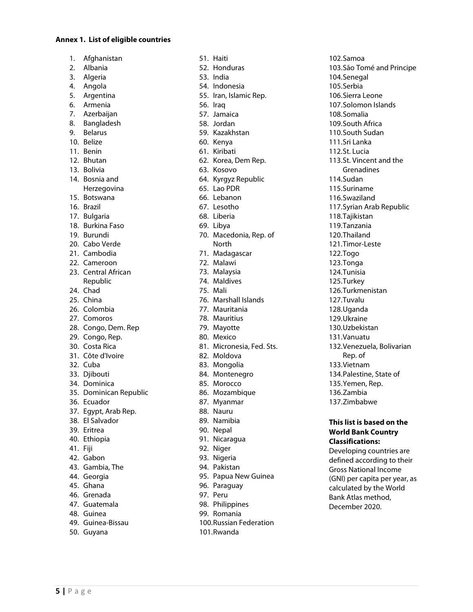#### **Annex 1. List of eligible countries**

- 1. Afghanistan
- 2. Albania
- 3. Algeria
- 4. Angola
- 5. Argentina
- 6. Armenia
- 7. Azerbaijan
- 8. Bangladesh
- 9. Belarus
- 10. Belize
- 11. Benin
- 12. Bhutan
- 13. Bolivia
- 14. Bosnia and
- Herzegovina
- 15. Botswana
- 16. Brazil
- 17. Bulgaria
- 18. Burkina Faso
- 19. Burundi
- 20. Cabo Verde
- 21. Cambodia
- 22. Cameroon
- 23. Central African Republic
- 24. Chad
- 25. China
- 26. Colombia
- 27. Comoros
- 28. Congo, Dem. Rep
- 29. Congo, Rep.
- 30. Costa Rica
- 31. Côte d'Ivoire
- 32. Cuba
- 33. Djibouti
- 34. Dominica
- 35. Dominican Republic
- 36. Ecuador
- 37. Egypt, Arab Rep.
- 38. El Salvador
- 39. Eritrea
- 40. Ethiopia
- 41. Fiji
- 42. Gabon
- 43. Gambia, The
- 44. Georgia
- 45. Ghana
- 46. Grenada
- 47. Guatemala
- 48. Guinea
- 49. Guinea-Bissau
- 50. Guyana

51. Haiti 52. Honduras 53. India 54. Indonesia 55. Iran, Islamic Rep. 56. Iraq 57. Jamaica 58. Jordan 59. Kazakhstan 60. Kenya 61. Kiribati 62. Korea, Dem Rep. 63. Kosovo 64. Kyrgyz Republic 65. Lao PDR 66. Lebanon 67. Lesotho 68. Liberia 69. Libya 70. Macedonia, Rep. of **North** 71. Madagascar 72. Malawi 73. Malaysia 74. Maldives 75. Mali 76. Marshall Islands 77. Mauritania 78. Mauritius 79. Mayotte 80. Mexico 81. Micronesia, Fed. Sts. 82. Moldova 83. Mongolia 84. Montenegro 85. Morocco 86. Mozambique 87. Myanmar 88. Nauru 89. Namibia 90. Nepal 91. Nicaragua 92. Niger 93. Nigeria 94. Pakistan 95. Papua New Guinea 96. Paraguay 97. Peru

- 98. Philippines
- 99. Romania
- 100.Russian Federation
- 101.Rwanda

102.Samoa 103.São Tomé and Principe 104.Senegal 105.Serbia 106.Sierra Leone 107.Solomon Islands 108.Somalia 109.South Africa 110.South Sudan 111.Sri Lanka 112.St. Lucia 113.St. Vincent and the Grenadines 114.Sudan 115.Suriname 116.Swaziland 117.Syrian Arab Republic 118.Tajikistan 119.Tanzania 120.Thailand 121.Timor-Leste 122.Togo 123.Tonga 124.Tunisia 125.Turkey 126.Turkmenistan 127.Tuvalu 128.Uganda 129.Ukraine 130.Uzbekistan 131.Vanuatu 132.Venezuela, Bolivarian Rep. of 133.Vietnam 134.Palestine, State of 135.Yemen, Rep. 136.Zambia 137.Zimbabwe

#### **This list is based on the World Bank Country Classifications:**

Developing countries are defined according to their Gross National Income (GNI) per capita per year, as calculated by the World Bank Atlas method, December 2020.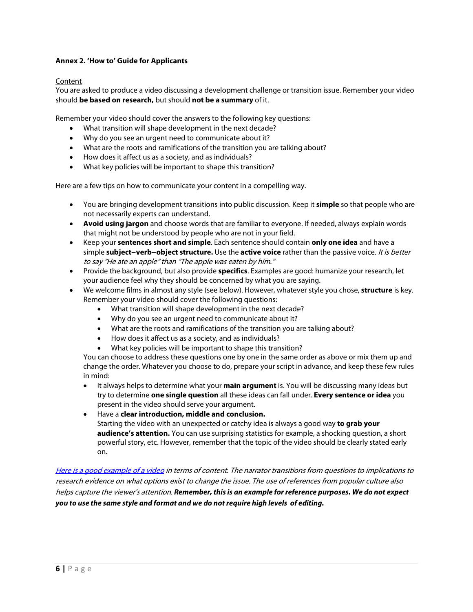### **Annex 2. 'How to' Guide for Applicants**

### Content

You are asked to produce a video discussing a development challenge or transition issue. Remember your video should **be based on research,** but should **not be a summary** of it.

Remember your video should cover the answers to the following key questions:

- What transition will shape development in the next decade?
- Why do you see an urgent need to communicate about it?
- What are the roots and ramifications of the transition you are talking about?
- How does it affect us as a society, and as individuals?
- What key policies will be important to shape this transition?

Here are a few tips on how to communicate your content in a compelling way.

- You are bringing development transitions into public discussion. Keep it **simple** so that people who are not necessarily experts can understand.
- **Avoid using jargon** and choose words that are familiar to everyone. If needed, always explain words that might not be understood by people who are not in your field.
- Keep your **sentences short and simple**. Each sentence should contain **only one idea** and have a simple **subject−verb−object structure.** Use the **active voice** rather than the passive voice. It is better to say "He ate an apple" than "The apple was eaten by him."
- Provide the background, but also provide **specifics**. Examples are good: humanize your research, let your audience feel why they should be concerned by what you are saying.
- We welcome films in almost any style (see below). However, whatever style you chose, **structure** is key. Remember your video should cover the following questions:
	- What transition will shape development in the next decade?
	- Why do you see an urgent need to communicate about it?
	- What are the roots and ramifications of the transition you are talking about?
	- How does it affect us as a society, and as individuals?
	- What key policies will be important to shape this transition?

You can choose to address these questions one by one in the same order as above or mix them up and change the order. Whatever you choose to do, prepare your script in advance, and keep these few rules in mind:

• It always helps to determine what your **main argument** is. You will be discussing many ideas but try to determine **one single question** all these ideas can fall under. **Every sentence or idea** you present in the video should serve your argument.

### • Have a **clear introduction, middle and conclusion.**

Starting the video with an unexpected or catchy idea is always a good way **to grab your audience's attention.** You can use surprising statistics for example, a shocking question, a short powerful story, etc. However, remember that the topic of the video should be clearly stated early on.

[Here is a good example of a video](https://www.youtube.com/watch?v=44MfyZf8HUM\) in terms of content. The narrator transitions from questions to implications to research evidence on what options exist to change the issue. The use of references from popular culture also helps capture the viewer's attention. *Remember, this is an example for reference purposes. We do not expect you to use the same style and format and we do not require high levels of editing.*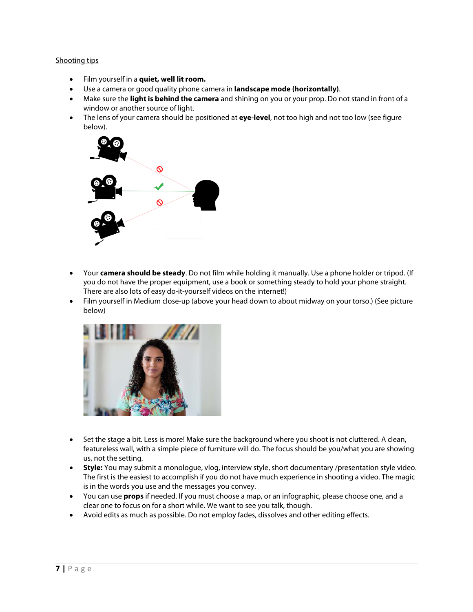#### Shooting tips

- Film yourself in a **quiet, well lit room.**
- Use a camera or good quality phone camera in **landscape mode (horizontally)**.
- Make sure the **light is behind the camera** and shining on you or your prop. Do not stand in front of a window or another source of light.
- The lens of your camera should be positioned at **eye-level**, not too high and not too low (see figure below).



- Your **camera should be steady**. Do not film while holding it manually. Use a phone holder or tripod. (If you do not have the proper equipment, use a book or something steady to hold your phone straight. There are also lots of easy do-it-yourself videos on the internet!)
- Film yourself in Medium close-up (above your head down to about midway on your torso.) (See picture below)



- Set the stage a bit. Less is more! Make sure the background where you shoot is not cluttered. A clean, featureless wall, with a simple piece of furniture will do. The focus should be you/what you are showing us, not the setting.
- **Style:** You may submit a monologue, vlog, interview style, shor[t documentary](https://www.youtube.com/watch?v=h_5Hmach0W4) /presentation style video. The first is the easiest to accomplish if you do not have much experience in shooting a video. The magic is in the words you use and the messages you convey.
- You can use **props** if needed. If you must choose a map, or an infographic, please choose one, and a clear one to focus on for a short while. We want to see you talk, though.
- Avoid edits as much as possible. Do not employ fades, dissolves and other editing effects.